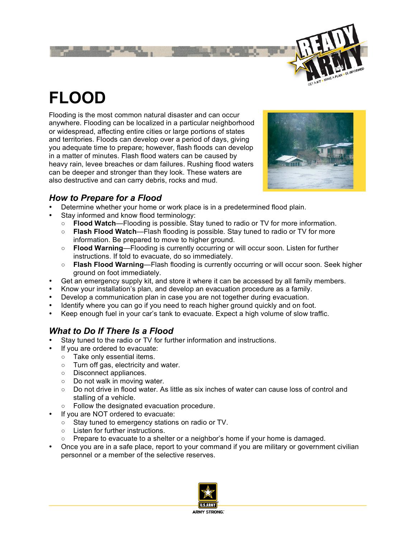

# **FLOOD**

Flooding is the most common natural disaster and can occur anywhere. Flooding can be localized in a particular neighborhood or widespread, affecting entire cities or large portions of states and territories. Floods can develop over a period of days, giving you adequate time to prepare; however, flash floods can develop in a matter of minutes. Flash flood waters can be caused by heavy rain, levee breaches or dam failures. Rushing flood waters can be deeper and stronger than they look. These waters are also destructive and can carry debris, rocks and mud.



## *How to Prepare for a Flood*

- Determine whether your home or work place is in a predetermined flood plain.
- Stay informed and know flood terminology:
	- **Flood Watch**—Flooding is possible. Stay tuned to radio or TV for more information.
	- **Flash Flood Watch**—Flash flooding is possible. Stay tuned to radio or TV for more information. Be prepared to move to higher ground.
	- **Flood Warning**—Flooding is currently occurring or will occur soon. Listen for further instructions. If told to evacuate, do so immediately.
	- **Flash Flood Warning**—Flash flooding is currently occurring or will occur soon. Seek higher ground on foot immediately.
- Get an emergency supply kit, and store it where it can be accessed by all family members.
- Know your installation's plan, and develop an evacuation procedure as a family.
- Develop a communication plan in case you are not together during evacuation.
- Identify where you can go if you need to reach higher ground quickly and on foot.
- Keep enough fuel in your car's tank to evacuate. Expect a high volume of slow traffic.

### *What to Do If There Is a Flood*

- Stay tuned to the radio or TV for further information and instructions.
- If you are ordered to evacuate:
	- Take only essential items.
	- Turn off gas, electricity and water.
	- Disconnect appliances.
	- Do not walk in moving water.
	- Do not drive in flood water. As little as six inches of water can cause loss of control and stalling of a vehicle.
	- Follow the designated evacuation procedure.
- If you are NOT ordered to evacuate:
	- Stay tuned to emergency stations on radio or TV.
	- Listen for further instructions.
	- $\circ$  Prepare to evacuate to a shelter or a neighbor's home if your home is damaged.
- Once you are in a safe place, report to your command if you are military or government civilian personnel or a member of the selective reserves.